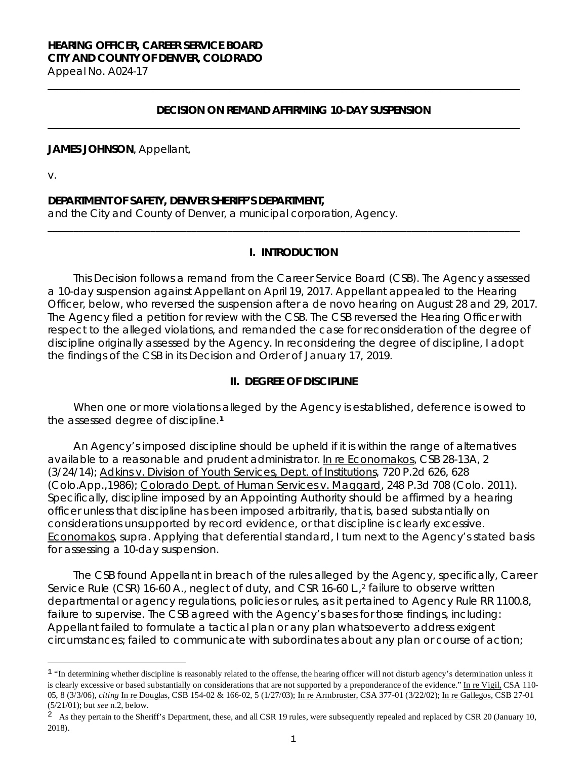# **HEARING OFFICER, CAREER SERVICE BOARD CITY AND COUNTY OF DENVER, COLORADO**

Appeal No. A024-17 **\_\_\_\_\_\_\_\_\_\_\_\_\_\_\_\_\_\_\_\_\_\_\_\_\_\_\_\_\_\_\_\_\_\_\_\_\_\_\_\_\_\_\_\_\_\_\_\_\_\_\_\_\_\_\_\_\_\_\_\_\_\_\_\_\_\_\_\_\_\_\_\_\_\_\_\_\_\_\_\_\_\_\_\_\_\_\_\_\_\_\_\_**

#### **DECISION ON REMAND AFFIRMING 10-DAY SUSPENSION**

**\_\_\_\_\_\_\_\_\_\_\_\_\_\_\_\_\_\_\_\_\_\_\_\_\_\_\_\_\_\_\_\_\_\_\_\_\_\_\_\_\_\_\_\_\_\_\_\_\_\_\_\_\_\_\_\_\_\_\_\_\_\_\_\_\_\_\_\_\_\_\_\_\_\_\_\_\_\_\_\_\_\_\_\_\_\_\_\_\_\_\_\_**

#### **JAMES JOHNSON**, Appellant,

v.

Ξ

#### **DEPARTMENT OF SAFETY, DENVER SHERIFF'S DEPARTMENT,**

and the City and County of Denver, a municipal corporation, Agency.

#### **I. INTRODUCTION**

**\_\_\_\_\_\_\_\_\_\_\_\_\_\_\_\_\_\_\_\_\_\_\_\_\_\_\_\_\_\_\_\_\_\_\_\_\_\_\_\_\_\_\_\_\_\_\_\_\_\_\_\_\_\_\_\_\_\_\_\_\_\_\_\_\_\_\_\_\_\_\_\_\_\_\_\_\_\_\_\_\_\_\_\_\_\_\_\_\_\_\_\_**

This Decision follows a remand from the Career Service Board (CSB). The Agency assessed a 10-day suspension against Appellant on April 19, 2017. Appellant appealed to the Hearing Officer, below, who reversed the suspension after a *de novo* hearing on August 28 and 29, 2017. The Agency filed a petition for review with the CSB. The CSB reversed the Hearing Officer with respect to the alleged violations, and remanded the case for reconsideration of the degree of discipline originally assessed by the Agency. In reconsidering the degree of discipline, I adopt the findings of the CSB in its Decision and Order of January 17, 2019.

# **II. DEGREE OF DISCIPLINE**

When one or more violations alleged by the Agency is established, deference is owed to the assessed degree of discipline.**[1](#page-0-0)**

An Agency's imposed discipline should be upheld if it is within the range of alternatives available to a reasonable and prudent administrator. In re Economakos, CSB 28-13A, 2 (3/24/14); Adkins v. Division of Youth Services, Dept. of Institutions, 720 P.2d 626, 628 (Colo.App.,1986); Colorado Dept. of Human Services v. Maggard, 248 P.3d 708 (Colo. 2011). Specifically, discipline imposed by an Appointing Authority should be affirmed by a hearing officer unless that discipline has been imposed arbitrarily, that is, based substantially on considerations unsupported by record evidence, or that discipline is clearly excessive. Economakos, *supra*. Applying that deferential standard, I turn next to the Agency's stated basis for assessing a 10-day suspension.

The CSB found Appellant in breach of the rules alleged by the Agency, specifically, Career Service Rule (CSR) 16-60 A., neglect of duty, and CSR 16-60 L.[,2](#page-0-1) failure to observe written departmental or agency regulations, policies or rules, as it pertained to Agency Rule RR 1100.8, failure to supervise. The CSB agreed with the Agency's bases for those findings, including: Appellant failed to formulate a tactical plan or any plan whatsoever to address exigent circumstances; failed to communicate with subordinates about any plan or course of action;

<span id="page-0-0"></span><sup>&</sup>lt;sup>1</sup> "In determining whether discipline is reasonably related to the offense, the hearing officer will not disturb agency's determination unless it is clearly excessive or based substantially on considerations that are not supported by a preponderance of the evidence." [In re Vigil,](https://www.denvergov.org/content/dam/denvergov/Portals/hearings_office/documents/Hearings/Vigil_Marlene_110-05_Decision.pdf) CSA 110-05, 8 (3/3/06), *citing* [In re Douglas,](https://www.denvergov.org/content/dam/denvergov/Portals/hearings_office/documents/Hearings/Douglas_Martha_154-02_166-02_Findings_of_Fact_Conclusions_of_Law_and_Order.pdf) CSB 154-02 & 166-02, 5 (1/27/03); [In re Armbruster,](https://www.denvergov.org/content/dam/denvergov/Portals/hearings_office/documents/Hearings/Armbruster_William_377-01_Findings_and_Order.pdf) CSA 377-01 (3/22/02); [In re Gallegos,](https://www.denvergov.org/content/dam/denvergov/Portals/hearings_office/documents/Hearings/Gallegos_Dolores_27-01_Findings_and_Order.pdf) CSB 27-01 (5/21/01); but *see* n.2, below.

<span id="page-0-1"></span><sup>&</sup>lt;sup>2</sup> As they pertain to the Sheriff's Department, these, and all CSR 19 rules, were subsequently repealed and replaced by CSR 20 (January 10, 2018).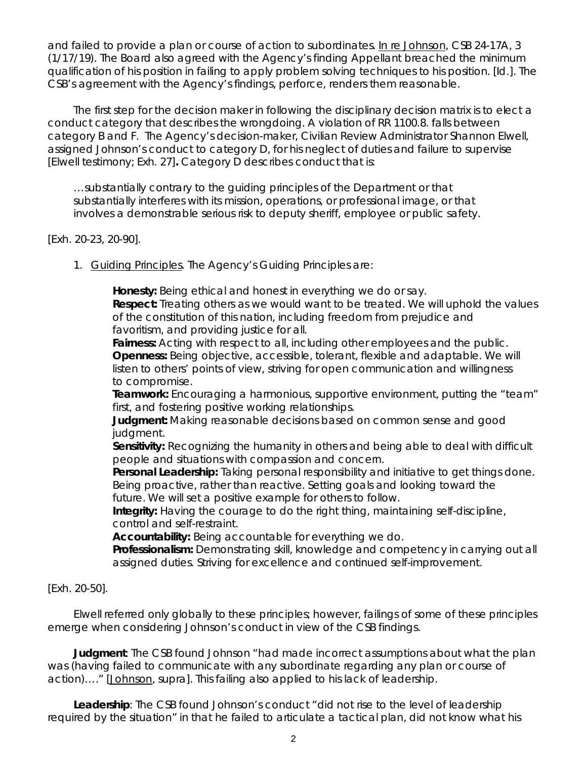and failed to provide a plan or course of action to subordinates. In re Johnson, CSB 24-17A, 3 (1/17/19). The Board also agreed with the Agency's finding Appellant breached the minimum qualification of his position in failing to apply problem solving techniques to his position. [*Id.*]. The CSB's agreement with the Agency's findings, perforce, renders them reasonable.

The first step for the decision maker in following the disciplinary decision matrix is to elect a conduct category that describes the wrongdoing. A violation of RR 1100.8. falls between category B and F. The Agency's decision-maker, Civilian Review Administrator Shannon Elwell, assigned Johnson's conduct to category D, for his neglect of duties and failure to supervise [Elwell testimony; Exh. 27]**.** Category D describes conduct that is:

…substantially contrary to the guiding principles of the Department or that substantially interferes with its mission, operations, or professional image, or that involves a demonstrable serious risk to deputy sheriff, employee or public safety.

# [Exh. 20-23, 20-90].

1. Guiding Principles. The Agency's Guiding Principles are:

**Honesty:** Being ethical and honest in everything we do or say. **Respect:** Treating others as we would want to be treated. We will uphold the values of the constitution of this nation, including freedom from prejudice and favoritism, and providing justice for all.

**Fairness:** Acting with respect to all, including other employees and the public. **Openness:** Being objective, accessible, tolerant, flexible and adaptable. We will listen to others' points of view, striving for open communication and willingness to compromise.

**Teamwork:** Encouraging a harmonious, supportive environment, putting the "team" first, and fostering positive working relationships.

**Judgment:** Making reasonable decisions based on common sense and good judgment.

**Sensitivity:** Recognizing the humanity in others and being able to deal with difficult people and situations with compassion and concern.

**Personal Leadership:** Taking personal responsibility and initiative to get things done. Being proactive, rather than reactive. Setting goals and looking toward the future. We will set a positive example for others to follow.

**Integrity:** Having the courage to do the right thing, maintaining self-discipline, control and self-restraint.

**Accountability:** Being accountable for everything we do.

**Professionalism:** Demonstrating skill, knowledge and competency in carrying out all assigned duties. Striving for excellence and continued self-improvement.

# [Exh. 20-50].

Elwell referred only globally to these principles; however, failings of some of these principles emerge when considering Johnson's conduct in view of the CSB findings.

**Judgment**: The CSB found Johnson "had made incorrect assumptions about what the plan was (having failed to communicate with any subordinate regarding any plan or course of action)…." [Johnson, supra]. This failing also applied to his lack of leadership.

**Leadership**: The CSB found Johnson's conduct "did not rise to the level of leadership required by the situation" in that he failed to articulate a tactical plan, did not know what his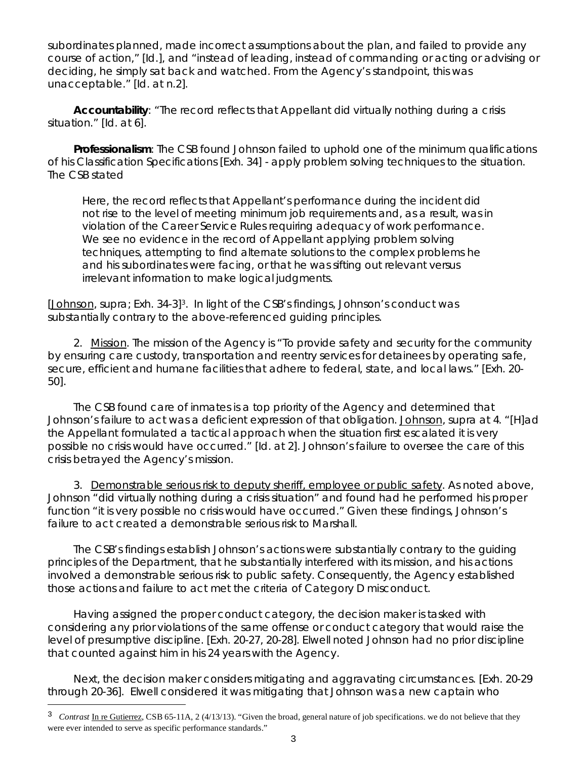subordinates planned, made incorrect assumptions about the plan, and failed to provide any course of action," [*Id*.], and "instead of leading, instead of commanding or acting or advising or deciding, he simply sat back and watched. From the Agency's standpoint, this was unacceptable." [*Id*. at n.2].

**Accountability**: "The record reflects that Appellant did virtually nothing during a crisis situation." [*Id*. at 6].

**Professionalism**: The CSB found Johnson failed to uphold one of the minimum qualifications of his Classification Specifications [Exh. 34] - apply problem solving techniques to the situation. The CSB stated

Here, the record reflects that Appellant's performance during the incident did not rise to the level of meeting minimum job requirements and, as a result, was in violation of the Career Service Rules requiring adequacy of work performance. We see no evidence in the record of Appellant applying problem solving techniques, attempting to find alternate solutions to the complex problems he and his subordinates were facing, or that he was sifting out relevant versus irrelevant information to make logical judgments.

[Johnson, *supra*; Exh. 34-3[\]3](#page-2-0). In light of the CSB's findings, Johnson's conduct was substantially contrary to the above-referenced guiding principles.

2. Mission. The mission of the Agency is "To provide safety and security for the community by ensuring care custody, transportation and reentry services for detainees by operating safe, secure, efficient and humane facilities that adhere to federal, state, and local laws." [Exh. 20- 50].

The CSB found care of inmates is a top priority of the Agency and determined that Johnson's failure to act was a deficient expression of that obligation. Johnson, *supra* at 4. "[H]ad the Appellant formulated a tactical approach when the situation first escalated it is very possible no crisis would have occurred." [*Id.* at 2]. Johnson's failure to oversee the care of this crisis betrayed the Agency's mission.

3. Demonstrable serious risk to deputy sheriff, employee or public safety. As noted above, Johnson "did virtually nothing during a crisis situation" and found had he performed his proper function "it is very possible no crisis would have occurred." Given these findings, Johnson's failure to act created a demonstrable serious risk to Marshall.

The CSB's findings establish Johnson's actions were substantially contrary to the guiding principles of the Department, that he substantially interfered with its mission, and his actions involved a demonstrable serious risk to public safety. Consequently, the Agency established those actions and failure to act met the criteria of Category D misconduct.

Having assigned the proper conduct category, the decision maker is tasked with considering any prior violations of the same offense or conduct category that would raise the level of presumptive discipline. [Exh. 20-27, 20-28]. Elwell noted Johnson had no prior discipline that counted against him in his 24 years with the Agency.

Next, the decision maker considers mitigating and aggravating circumstances. [Exh. 20-29 through 20-36]. Elwell considered it was mitigating that Johnson was a new captain who

Ξ

<span id="page-2-0"></span><sup>&</sup>lt;sup>3</sup> *Contrast* In re Gutierrez, CSB 65-11A, 2 (4/13/13). "Given the broad, general nature of job specifications. we do not believe that they were ever intended to serve as specific performance standards."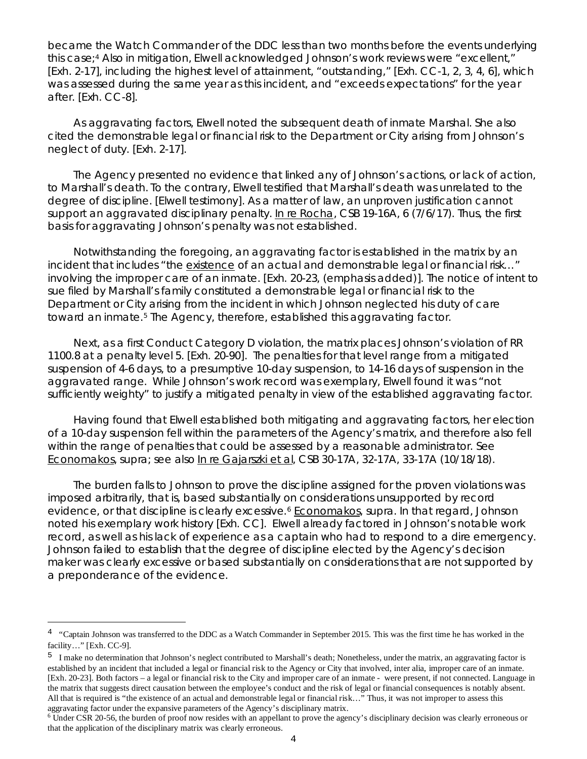became the Watch Commander of the DDC less than two months before the events underlying this case;<sup>[4](#page-3-0)</sup> Also in mitigation, Elwell acknowledged Johnson's work reviews were "excellent," [Exh. 2-17], including the highest level of attainment, "outstanding," [Exh. CC-1, 2, 3, 4, 6], which was assessed during the same year as this incident, and "exceeds expectations" for the year after. [Exh. CC-8].

As aggravating factors, Elwell noted the subsequent death of inmate Marshal. She also cited the demonstrable legal or financial risk to the Department or City arising from Johnson's neglect of duty. [Exh. 2-17].

The Agency presented no evidence that linked any of Johnson's actions, or lack of action, to Marshall's death. To the contrary, Elwell testified that Marshall's death was unrelated to the degree of discipline. [Elwell testimony]. As a matter of law, an unproven justification cannot support an aggravated disciplinary penalty. In re Rocha, CSB 19-16A, 6 (7/6/17). Thus, the first basis for aggravating Johnson's penalty was not established.

Notwithstanding the foregoing, an aggravating factor is established in the matrix by an incident that includes "the existence of an actual and demonstrable legal or financial risk…" involving the improper care of an inmate. [Exh. 20-23, (emphasis added)]. The notice of intent to sue filed by Marshall's family constituted a demonstrable legal or financial risk to the Department or City arising from the incident in which Johnson neglected his duty of care toward an inmate.[5](#page-3-1) The Agency, therefore, established this aggravating factor.

Next, as a first Conduct Category D violation, the matrix places Johnson's violation of RR 1100.8 at a penalty level 5. [Exh. 20-90]. The penalties for that level range from a mitigated suspension of 4-6 days, to a presumptive 10-day suspension, to 14-16 days of suspension in the aggravated range. While Johnson's work record was exemplary, Elwell found it was "not sufficiently weighty" to justify a mitigated penalty in view of the established aggravating factor.

Having found that Elwell established both mitigating and aggravating factors, her election of a 10-day suspension fell within the parameters of the Agency's matrix, and therefore also fell within the range of penalties that could be assessed by a reasonable administrator. *See* Economakos, *supra*; *see also* In re Gajarszki et al, CSB 30-17A, 32-17A, 33-17A (10/18/18).

The burden falls to Johnson to prove the discipline assigned for the proven violations was imposed arbitrarily, that is, based substantially on considerations unsupported by record evidence, or that discipline is clearly excessive.<sup>[6](#page-3-2)</sup> Economakos, supra. In that regard, Johnson noted his exemplary work history [Exh. CC]. Elwell already factored in Johnson's notable work record, as well as his lack of experience as a captain who had to respond to a dire emergency. Johnson failed to establish that the degree of discipline elected by the Agency's decision maker was clearly excessive or based substantially on considerations that are not supported by a preponderance of the evidence.

Ξ

<span id="page-3-0"></span><sup>&</sup>lt;sup>4</sup> "Captain Johnson was transferred to the DDC as a Watch Commander in September 2015. This was the first time he has worked in the facility…" [Exh. CC-9].

<span id="page-3-1"></span><sup>&</sup>lt;sup>5</sup> I make no determination that Johnson's neglect contributed to Marshall's death; Nonetheless, under the matrix, an aggravating factor is established by an incident that included a legal or financial risk to the Agency or City that involved, inter alia, improper care of an inmate. [Exh. 20-23]. Both factors – a legal or financial risk to the City and improper care of an inmate - were present, if not connected. Language in the matrix that suggests direct causation between the employee's conduct and the risk of legal or financial consequences is notably absent. All that is required is "the existence of an actual and demonstrable legal or financial risk…" Thus, it was not improper to assess this

<span id="page-3-2"></span>aggravating factor under the expansive parameters of the Agency's disciplinary matrix.<br><sup>6</sup> Under CSR 20-56, the burden of proof now resides with an appellant to prove the agency's disciplinary decision was clearly erroneou that the application of the disciplinary matrix was clearly erroneous.